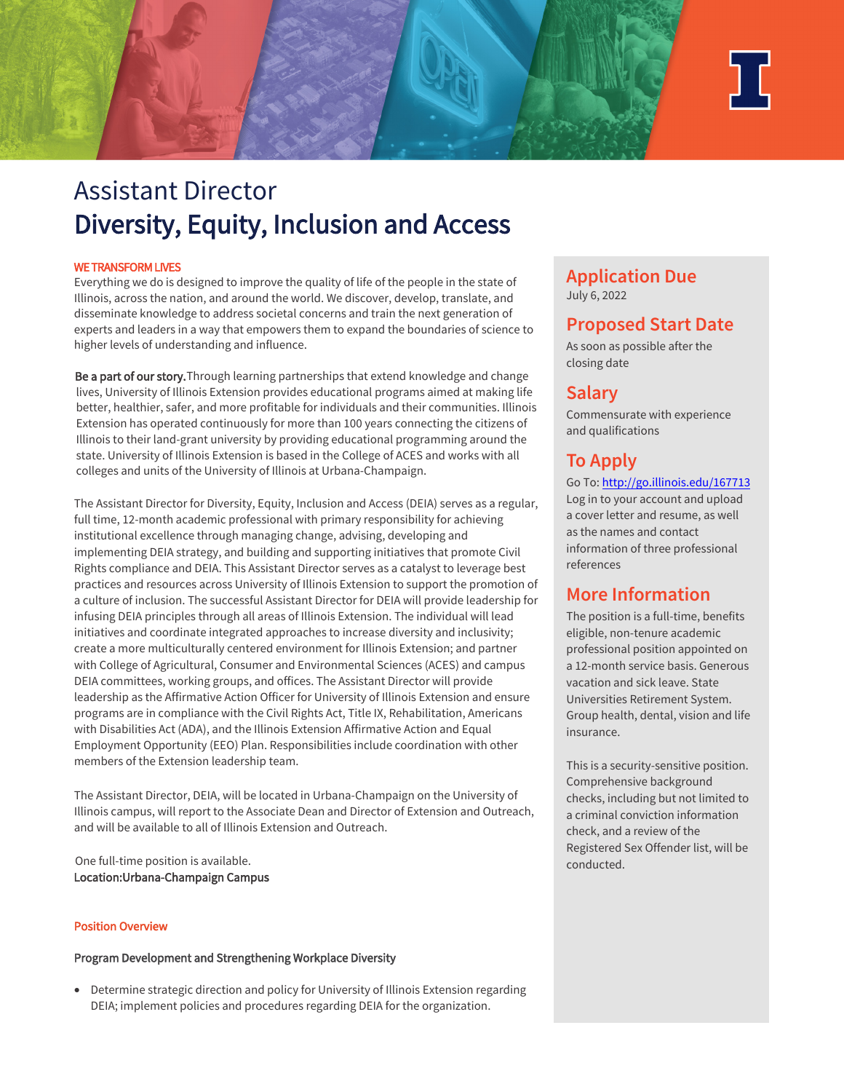

# Assistant Director Diversity, Equity, Inclusion and Access

## WE TRANSFORM LIVES

Everything we do is designed to improve the quality of life of the people in the state of Illinois, across the nation, and around the world. We discover, develop, translate, and disseminate knowledge to address societal concerns and train the next generation of experts and leaders in a way that empowers them to expand the boundaries of science to higher levels of understanding and influence.

Be a part of our story. Through learning partnerships that extend knowledge and change lives, University of Illinois Extension provides educational programs aimed at making life better, healthier, safer, and more profitable for individuals and their communities. Illinois Extension has operated continuously for more than 100 years connecting the citizens of Illinois to their land-grant university by providing educational programming around the state. University of Illinois Extension is based in the College of ACES and works with all colleges and units of the University of Illinois at Urbana-Champaign.

The Assistant Director for Diversity, Equity, Inclusion and Access (DEIA) serves as a regular, full time, 12-month academic professional with primary responsibility for achieving institutional excellence through managing change, advising, developing and implementing DEIA strategy, and building and supporting initiatives that promote Civil Rights compliance and DEIA. This Assistant Director serves as a catalyst to leverage best practices and resources across University of Illinois Extension to support the promotion of a culture of inclusion. The successful Assistant Director for DEIA will provide leadership for infusing DEIA principles through all areas of Illinois Extension. The individual will lead initiatives and coordinate integrated approaches to increase diversity and inclusivity; create a more multiculturally centered environment for Illinois Extension; and partner with College of Agricultural, Consumer and Environmental Sciences (ACES) and campus DEIA committees, working groups, and offices. The Assistant Director will provide leadership as the Affirmative Action Officer for University of Illinois Extension and ensure programs are in compliance with the Civil Rights Act, Title IX, Rehabilitation, Americans with Disabilities Act (ADA), and the Illinois Extension Affirmative Action and Equal Employment Opportunity (EEO) Plan. Responsibilities include coordination with other members of the Extension leadership team.

The Assistant Director, DEIA, will be located in Urbana-Champaign on the University of Illinois campus, will report to the Associate Dean and Director of Extension and Outreach, and will be available to all of Illinois Extension and Outreach.

One full-time position is available. Location: Urbana-Champaign Campus

## Position Overview

## Program Development and Strengthening Workplace Diversity

• Determine strategic direction and policy for University of Illinois Extension regarding DEIA; implement policies and procedures regarding DEIA for the organization.

## **Application Due** July 6, 2022

# **Proposed Start Date**

As soon as possible after the closing date

# **Salary**

Commensurate with experience and qualifications

# **To Apply**

[Go To: http://go.illinois.edu/](https://go.illinois.edu/167713)167713 Log in to your account and upload a cover letter and resume, as well as the names and contact information of three professional references

## **More Information**

The position is a full-time, benefits eligible, non-tenure academic professional position appointed on a 12-month service basis. Generous vacation and sick leave. State Universities Retirement System. Group health, dental, vision and life insurance.

This is a security-sensitive position. Comprehensive background checks, including but not limited to a criminal conviction information check, and a review of the Registered Sex Offender list, will be conducted.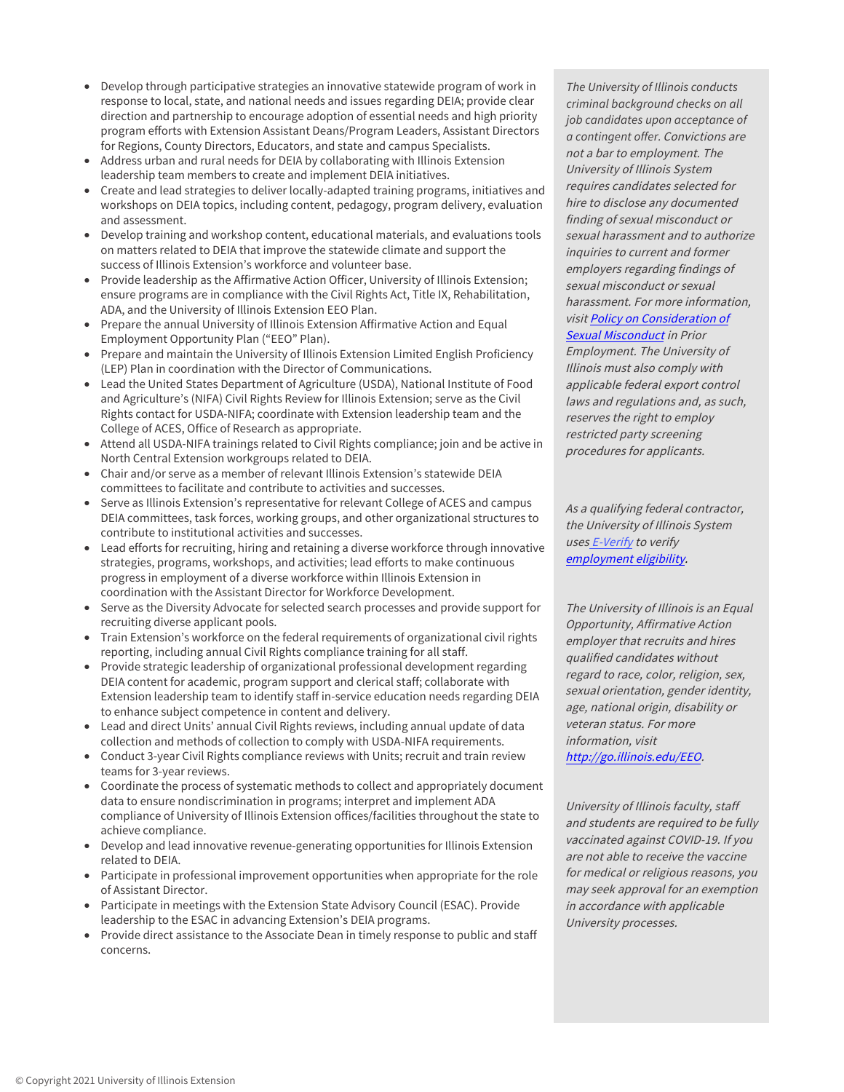- Develop through participative strategies an innovative statewide program of work in response to local, state, and national needs and issues regarding DEIA; provide clear direction and partnership to encourage adoption of essential needs and high priority program efforts with Extension Assistant Deans/Program Leaders, Assistant Directors for Regions, County Directors, Educators, and state and campus Specialists.
- Address urban and rural needs for DEIA by collaborating with Illinois Extension leadership team members to create and implement DEIA initiatives.
- Create and lead strategies to deliver locally-adapted training programs, initiatives and workshops on DEIA topics, including content, pedagogy, program delivery, evaluation and assessment.
- Develop training and workshop content, educational materials, and evaluations tools on matters related to DEIA that improve the statewide climate and support the success of Illinois Extension's workforce and volunteer base.
- Provide leadership as the Affirmative Action Officer, University of Illinois Extension; ensure programs are in compliance with the Civil Rights Act, Title IX, Rehabilitation, ADA, and the University of Illinois Extension EEO Plan.
- Prepare the annual University of Illinois Extension Affirmative Action and Equal Employment Opportunity Plan ("EEO" Plan).
- Prepare and maintain the University of Illinois Extension Limited English Proficiency (LEP) Plan in coordination with the Director of Communications.
- Lead the United States Department of Agriculture (USDA), National Institute of Food and Agriculture's (NIFA) Civil Rights Review for Illinois Extension; serve as the Civil Rights contact for USDA-NIFA; coordinate with Extension leadership team and the College of ACES, Office of Research as appropriate.
- Attend all USDA-NIFA trainings related to Civil Rights compliance; join and be active in North Central Extension workgroups related to DEIA.
- Chair and/or serve as a member of relevant Illinois Extension's statewide DEIA committees to facilitate and contribute to activities and successes.
- Serve as Illinois Extension's representative for relevant College of ACES and campus DEIA committees, task forces, working groups, and other organizational structures to contribute to institutional activities and successes.
- Lead efforts for recruiting, hiring and retaining a diverse workforce through innovative strategies, programs, workshops, and activities; lead efforts to make continuous progress in employment of a diverse workforce within Illinois Extension in coordination with the Assistant Director for Workforce Development.
- Serve as the Diversity Advocate for selected search processes and provide support for recruiting diverse applicant pools.
- Train Extension's workforce on the federal requirements of organizational civil rights reporting, including annual Civil Rights compliance training for all staff.
- Provide strategic leadership of organizational professional development regarding DEIA content for academic, program support and clerical staff; collaborate with Extension leadership team to identify staff in-service education needs regarding DEIA to enhance subject competence in content and delivery.
- Lead and direct Units' annual Civil Rights reviews, including annual update of data collection and methods of collection to comply with USDA-NIFA requirements.
- Conduct 3-year Civil Rights compliance reviews with Units; recruit and train review teams for 3-year reviews.
- Coordinate the process of systematic methods to collect and appropriately document data to ensure nondiscrimination in programs; interpret and implement ADA compliance of University of Illinois Extension offices/facilities throughout the state to achieve compliance.
- Develop and lead innovative revenue-generating opportunities for Illinois Extension related to DEIA.
- Participate in professional improvement opportunities when appropriate for the role of Assistant Director.
- Participate in meetings with the Extension State Advisory Council (ESAC). Provide leadership to the ESAC in advancing Extension's DEIA programs.
- Provide direct assistance to the Associate Dean in timely response to public and staff concerns.

*The University of Illinois conducts criminal background checks on all job candidates upon acceptance of a contingent offer.*Convictions are not a bar to employment. The University of Illinois System requires candidates selected for hire to disclose any documented finding of sexual misconduct or sexual harassment and to authorize inquiries to current and former employers regarding findings of sexual misconduct or sexual harassment. For more information, [visit Policy on Consideration of](https://www.hr.uillinois.edu/cms/One.aspx?portalId=4292&pageId=1411899)  Sexual Misconduct in Prior

Employment. The University of Illinois must also comply with applicable federal export control laws and regulations and, as such, reserves the right to employ restricted party screening procedures for applicants.

As a qualifying federal contractor, the University of Illinois System uses E-Verify to verify employment eligibility.

The University of Illinois is an Equal Opportunity, Affirmative Action employer that recruits and hires qualified candidates without regard to race, color, religion, sex, sexual orientation, gender identity, age, national origin, disability or veteran status. For more information, visit [http://go.illinois.edu/EEO.](http://diversity.illinois.edu/discrimination-and-harrassment-prevention.html)

University of Illinois faculty, staff and students are required to be fully vaccinated against COVID-19. If you are not able to receive the vaccine for medical or religious reasons, you may seek approval for an exemption in accordance with applicable University processes.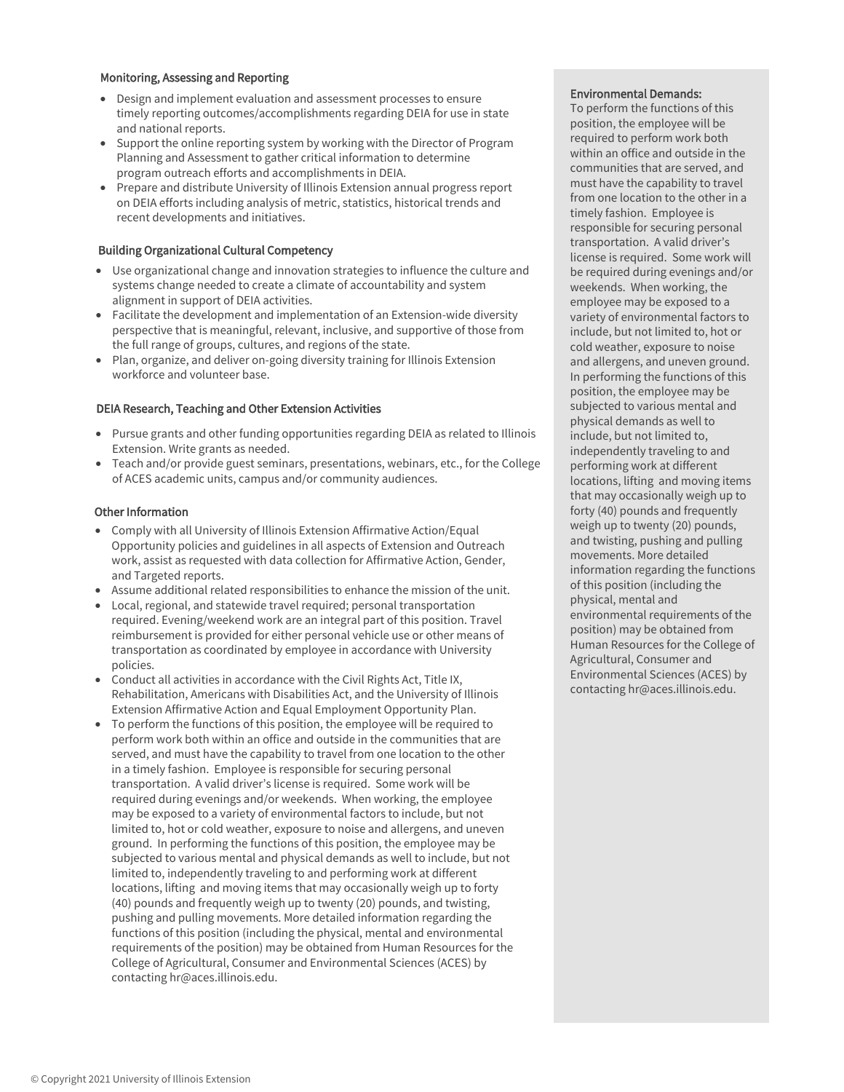### Monitoring, Assessing and Reporting

- Design and implement evaluation and assessment processes to ensure timely reporting outcomes/accomplishments regarding DEIA for use in state and national reports.
- Support the online reporting system by working with the Director of Program Planning and Assessment to gather critical information to determine program outreach efforts and accomplishments in DEIA.
- Prepare and distribute University of Illinois Extension annual progress report on DEIA efforts including analysis of metric, statistics, historical trends and recent developments and initiatives.

## Building Organizational Cultural Competency

- Use organizational change and innovation strategies to influence the culture and systems change needed to create a climate of accountability and system alignment in support of DEIA activities.
- Facilitate the development and implementation of an Extension-wide diversity perspective that is meaningful, relevant, inclusive, and supportive of those from the full range of groups, cultures, and regions of the state.
- Plan, organize, and deliver on-going diversity training for Illinois Extension workforce and volunteer base.

## DEIA Research, Teaching and Other Extension Activities

- Pursue grants and other funding opportunities regarding DEIA as related to Illinois Extension. Write grants as needed.
- Teach and/or provide guest seminars, presentations, webinars, etc., for the College of ACES academic units, campus and/or community audiences.

## Other Information

- Comply with all University of Illinois Extension Affirmative Action/Equal Opportunity policies and guidelines in all aspects of Extension and Outreach work, assist as requested with data collection for Affirmative Action, Gender, and Targeted reports.
- Assume additional related responsibilities to enhance the mission of the unit.
- Local, regional, and statewide travel required; personal transportation required. Evening/weekend work are an integral part of this position. Travel reimbursement is provided for either personal vehicle use or other means of transportation as coordinated by employee in accordance with University policies.
- Conduct all activities in accordance with the Civil Rights Act, Title IX, Rehabilitation, Americans with Disabilities Act, and the University of Illinois Extension Affirmative Action and Equal Employment Opportunity Plan.
- To perform the functions of this position, the employee will be required to perform work both within an office and outside in the communities that are served, and must have the capability to travel from one location to the other in a timely fashion. Employee is responsible for securing personal transportation. A valid driver's license is required. Some work will be required during evenings and/or weekends. When working, the employee may be exposed to a variety of environmental factors to include, but not limited to, hot or cold weather, exposure to noise and allergens, and uneven ground. In performing the functions of this position, the employee may be subjected to various mental and physical demands as well to include, but not limited to, independently traveling to and performing work at different locations, lifting and moving items that may occasionally weigh up to forty (40) pounds and frequently weigh up to twenty (20) pounds, and twisting, pushing and pulling movements. More detailed information regarding the functions of this position (including the physical, mental and environmental requirements of the position) may be obtained from Human Resources for the College of Agricultural, Consumer and Environmental Sciences (ACES) by contacting hr@aces.illinois.edu.

#### Environmental Demands:

To perform the functions of this position, the employee will be required to perform work both within an office and outside in the communities that are served, and must have the capability to travel from one location to the other in a timely fashion. Employee is responsible for securing personal transportation. A valid driver's license is required. Some work will be required during evenings and/or weekends. When working, the employee may be exposed to a variety of environmental factors to include, but not limited to, hot or cold weather, exposure to noise and allergens, and uneven ground. In performing the functions of this position, the employee may be subjected to various mental and physical demands as well to include, but not limited to, independently traveling to and performing work at different locations, lifting and moving items that may occasionally weigh up to forty (40) pounds and frequently weigh up to twenty (20) pounds, and twisting, pushing and pulling movements. More detailed information regarding the functions of this position (including the physical, mental and environmental requirements of the position) may be obtained from Human Resources for the College of Agricultural, Consumer and Environmental Sciences (ACES) by contacting hr@aces.illinois.edu.